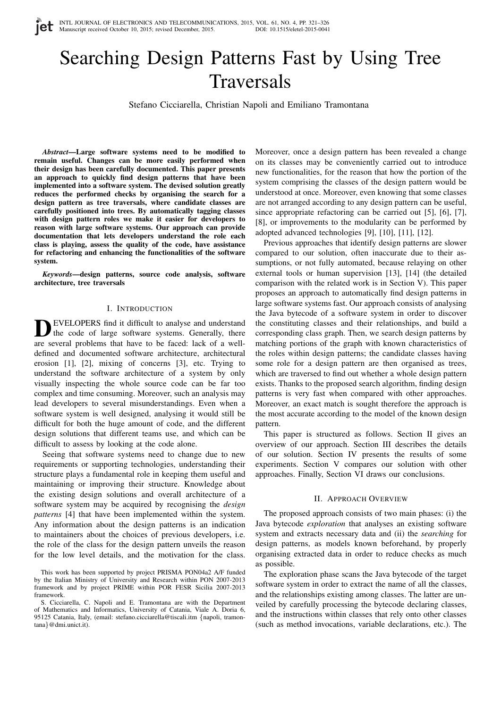# Searching Design Patterns Fast by Using Tree Traversals

Stefano Cicciarella, Christian Napoli and Emiliano Tramontana

*Abstract*—Large software systems need to be modified to remain useful. Changes can be more easily performed when their design has been carefully documented. This paper presents an approach to quickly find design patterns that have been implemented into a software system. The devised solution greatly reduces the performed checks by organising the search for a design pattern as tree traversals, where candidate classes are carefully positioned into trees. By automatically tagging classes with design pattern roles we make it easier for developers to reason with large software systems. Our approach can provide documentation that lets developers understand the role each class is playing, assess the quality of the code, have assistance for refactoring and enhancing the functionalities of the software system.

*Keywords*—design patterns, source code analysis, software architecture, tree traversals

### I. INTRODUCTION

DEVELOPERS find it difficult to analyse and understand<br>the code of large software systems. Generally, there EVELOPERS find it difficult to analyse and understand are several problems that have to be faced: lack of a welldefined and documented software architecture, architectural erosion [1], [2], mixing of concerns [3], etc. Trying to understand the software architecture of a system by only visually inspecting the whole source code can be far too complex and time consuming. Moreover, such an analysis may lead developers to several misunderstandings. Even when a software system is well designed, analysing it would still be difficult for both the huge amount of code, and the different design solutions that different teams use, and which can be difficult to assess by looking at the code alone.

Seeing that software systems need to change due to new requirements or supporting technologies, understanding their structure plays a fundamental role in keeping them useful and maintaining or improving their structure. Knowledge about the existing design solutions and overall architecture of a software system may be acquired by recognising the *design patterns* [4] that have been implemented within the system. Any information about the design patterns is an indication to maintainers about the choices of previous developers, i.e. the role of the class for the design pattern unveils the reason for the low level details, and the motivation for the class.

Moreover, once a design pattern has been revealed a change on its classes may be conveniently carried out to introduce new functionalities, for the reason that how the portion of the system comprising the classes of the design pattern would be understood at once. Moreover, even knowing that some classes are not arranged according to any design pattern can be useful, since appropriate refactoring can be carried out [5], [6], [7], [8], or improvements to the modularity can be performed by adopted advanced technologies [9], [10], [11], [12].

Previous approaches that identify design patterns are slower compared to our solution, often inaccurate due to their assumptions, or not fully automated, because relaying on other external tools or human supervision [13], [14] (the detailed comparison with the related work is in Section V). This paper proposes an approach to automatically find design patterns in large software systems fast. Our approach consists of analysing the Java bytecode of a software system in order to discover the constituting classes and their relationships, and build a corresponding class graph. Then, we search design patterns by matching portions of the graph with known characteristics of the roles within design patterns; the candidate classes having some role for a design pattern are then organised as trees, which are traversed to find out whether a whole design pattern exists. Thanks to the proposed search algorithm, finding design patterns is very fast when compared with other approaches. Moreover, an exact match is sought therefore the approach is the most accurate according to the model of the known design pattern.

This paper is structured as follows. Section II gives an overview of our approach. Section III describes the details of our solution. Section IV presents the results of some experiments. Section V compares our solution with other approaches. Finally, Section VI draws our conclusions.

### II. APPROACH OVERVIEW

The proposed approach consists of two main phases: (i) the Java bytecode *exploration* that analyses an existing software system and extracts necessary data and (ii) the *searching* for design patterns, as models known beforehand, by properly organising extracted data in order to reduce checks as much as possible.

The exploration phase scans the Java bytecode of the target software system in order to extract the name of all the classes, and the relationships existing among classes. The latter are unveiled by carefully processing the bytecode declaring classes, and the instructions within classes that rely onto other classes (such as method invocations, variable declarations, etc.). The

This work has been supported by project PRISMA PON04a2 A/F funded by the Italian Ministry of University and Research within PON 2007-2013 framework and by project PRIME within POR FESR Sicilia 2007-2013 framework.

S. Cicciarella, C. Napoli and E. Tramontana are with the Department of Mathematics and Informatics, University of Catania, Viale A. Doria 6, 95125 Catania, Italy, (email: stefano.cicciarella@tiscali.itm {napoli, tramontana}@dmi.unict.it).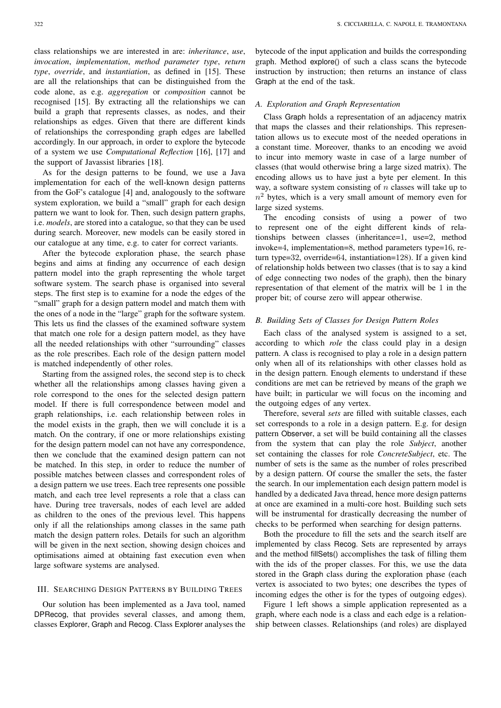class relationships we are interested in are: *inheritance*, *use*, *invocation*, *implementation*, *method parameter type*, *return type*, *override*, and *instantiation*, as defined in [15]. These are all the relationships that can be distinguished from the code alone, as e.g. *aggregation* or *composition* cannot be recognised [15]. By extracting all the relationships we can build a graph that represents classes, as nodes, and their relationships as edges. Given that there are different kinds of relationships the corresponding graph edges are labelled accordingly. In our approach, in order to explore the bytecode of a system we use *Computational Reflection* [16], [17] and the support of Javassist libraries [18].

As for the design patterns to be found, we use a Java implementation for each of the well-known design patterns from the GoF's catalogue [4] and, analogously to the software system exploration, we build a "small" graph for each design pattern we want to look for. Then, such design pattern graphs, i.e. *models*, are stored into a catalogue, so that they can be used during search. Moreover, new models can be easily stored in our catalogue at any time, e.g. to cater for correct variants.

After the bytecode exploration phase, the search phase begins and aims at finding any occurrence of each design pattern model into the graph representing the whole target software system. The search phase is organised into several steps. The first step is to examine for a node the edges of the "small" graph for a design pattern model and match them with the ones of a node in the "large" graph for the software system. This lets us find the classes of the examined software system that match one role for a design pattern model, as they have all the needed relationships with other "surrounding" classes as the role prescribes. Each role of the design pattern model is matched independently of other roles.

Starting from the assigned roles, the second step is to check whether all the relationships among classes having given a role correspond to the ones for the selected design pattern model. If there is full correspondence between model and graph relationships, i.e. each relationship between roles in the model exists in the graph, then we will conclude it is a match. On the contrary, if one or more relationships existing for the design pattern model can not have any correspondence, then we conclude that the examined design pattern can not be matched. In this step, in order to reduce the number of possible matches between classes and correspondent roles of a design pattern we use trees. Each tree represents one possible match, and each tree level represents a role that a class can have. During tree traversals, nodes of each level are added as children to the ones of the previous level. This happens only if all the relationships among classes in the same path match the design pattern roles. Details for such an algorithm will be given in the next section, showing design choices and optimisations aimed at obtaining fast execution even when large software systems are analysed.

#### III. SEARCHING DESIGN PATTERNS BY BUILDING TREES

Our solution has been implemented as a Java tool, named DPRecog, that provides several classes, and among them, classes Explorer, Graph and Recog. Class Explorer analyses the bytecode of the input application and builds the corresponding graph. Method explore() of such a class scans the bytecode instruction by instruction; then returns an instance of class Graph at the end of the task.

## *A. Exploration and Graph Representation*

Class Graph holds a representation of an adjacency matrix that maps the classes and their relationships. This representation allows us to execute most of the needed operations in a constant time. Moreover, thanks to an encoding we avoid to incur into memory waste in case of a large number of classes (that would otherwise bring a large sized matrix). The encoding allows us to have just a byte per element. In this way, a software system consisting of  $n$  classes will take up to  $n<sup>2</sup>$  bytes, which is a very small amount of memory even for large sized systems.

The encoding consists of using a power of two to represent one of the eight different kinds of relationships between classes (inheritance=1, use=2, method invoke=4, implementation=8, method parameters type=16, return type=32, override=64, instantiation=128). If a given kind of relationship holds between two classes (that is to say a kind of edge connecting two nodes of the graph), then the binary representation of that element of the matrix will be 1 in the proper bit; of course zero will appear otherwise.

## *B. Building Sets of Classes for Design Pattern Roles*

Each class of the analysed system is assigned to a set, according to which *role* the class could play in a design pattern. A class is recognised to play a role in a design pattern only when all of its relationships with other classes hold as in the design pattern. Enough elements to understand if these conditions are met can be retrieved by means of the graph we have built; in particular we will focus on the incoming and the outgoing edges of any vertex.

Therefore, several *sets* are filled with suitable classes, each set corresponds to a role in a design pattern. E.g. for design pattern Observer, a set will be build containing all the classes from the system that can play the role *Subject*, another set containing the classes for role *ConcreteSubject*, etc. The number of sets is the same as the number of roles prescribed by a design pattern. Of course the smaller the sets, the faster the search. In our implementation each design pattern model is handled by a dedicated Java thread, hence more design patterns at once are examined in a multi-core host. Building such sets will be instrumental for drastically decreasing the number of checks to be performed when searching for design patterns.

Both the procedure to fill the sets and the search itself are implemented by class Recog. Sets are represented by arrays and the method fillSets() accomplishes the task of filling them with the ids of the proper classes. For this, we use the data stored in the Graph class during the exploration phase (each vertex is associated to two bytes; one describes the types of incoming edges the other is for the types of outgoing edges).

Figure 1 left shows a simple application represented as a graph, where each node is a class and each edge is a relationship between classes. Relationships (and roles) are displayed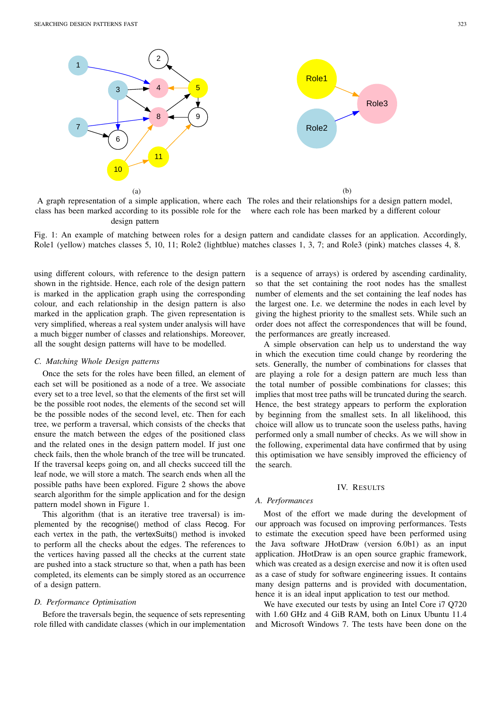

A graph representation of a simple application, where each The roles and their relationships for a design pattern model, class has been marked according to its possible role for the where each role has been marked by a different colour design pattern

Fig. 1: An example of matching between roles for a design pattern and candidate classes for an application. Accordingly, Role1 (yellow) matches classes 5, 10, 11; Role2 (lightblue) matches classes 1, 3, 7; and Role3 (pink) matches classes 4, 8.

using different colours, with reference to the design pattern shown in the rightside. Hence, each role of the design pattern is marked in the application graph using the corresponding colour, and each relationship in the design pattern is also marked in the application graph. The given representation is very simplified, whereas a real system under analysis will have a much bigger number of classes and relationships. Moreover, all the sought design patterns will have to be modelled.

## *C. Matching Whole Design patterns*

Once the sets for the roles have been filled, an element of each set will be positioned as a node of a tree. We associate every set to a tree level, so that the elements of the first set will be the possible root nodes, the elements of the second set will be the possible nodes of the second level, etc. Then for each tree, we perform a traversal, which consists of the checks that ensure the match between the edges of the positioned class and the related ones in the design pattern model. If just one check fails, then the whole branch of the tree will be truncated. If the traversal keeps going on, and all checks succeed till the leaf node, we will store a match. The search ends when all the possible paths have been explored. Figure 2 shows the above search algorithm for the simple application and for the design pattern model shown in Figure 1.

This algorithm (that is an iterative tree traversal) is implemented by the recognise() method of class Recog. For each vertex in the path, the vertexSuits() method is invoked to perform all the checks about the edges. The references to the vertices having passed all the checks at the current state are pushed into a stack structure so that, when a path has been completed, its elements can be simply stored as an occurrence of a design pattern.

## *D. Performance Optimisation*

Before the traversals begin, the sequence of sets representing role filled with candidate classes (which in our implementation is a sequence of arrays) is ordered by ascending cardinality, so that the set containing the root nodes has the smallest number of elements and the set containing the leaf nodes has the largest one. I.e. we determine the nodes in each level by giving the highest priority to the smallest sets. While such an order does not affect the correspondences that will be found, the performances are greatly increased.

A simple observation can help us to understand the way in which the execution time could change by reordering the sets. Generally, the number of combinations for classes that are playing a role for a design pattern are much less than the total number of possible combinations for classes; this implies that most tree paths will be truncated during the search. Hence, the best strategy appears to perform the exploration by beginning from the smallest sets. In all likelihood, this choice will allow us to truncate soon the useless paths, having performed only a small number of checks. As we will show in the following, experimental data have confirmed that by using this optimisation we have sensibly improved the efficiency of the search.

### IV. RESULTS

#### *A. Performances*

Most of the effort we made during the development of our approach was focused on improving performances. Tests to estimate the execution speed have been performed using the Java software JHotDraw (version 6.0b1) as an input application. JHotDraw is an open source graphic framework, which was created as a design exercise and now it is often used as a case of study for software engineering issues. It contains many design patterns and is provided with documentation, hence it is an ideal input application to test our method.

We have executed our tests by using an Intel Core i7 Q720 with 1.60 GHz and 4 GiB RAM, both on Linux Ubuntu 11.4 and Microsoft Windows 7. The tests have been done on the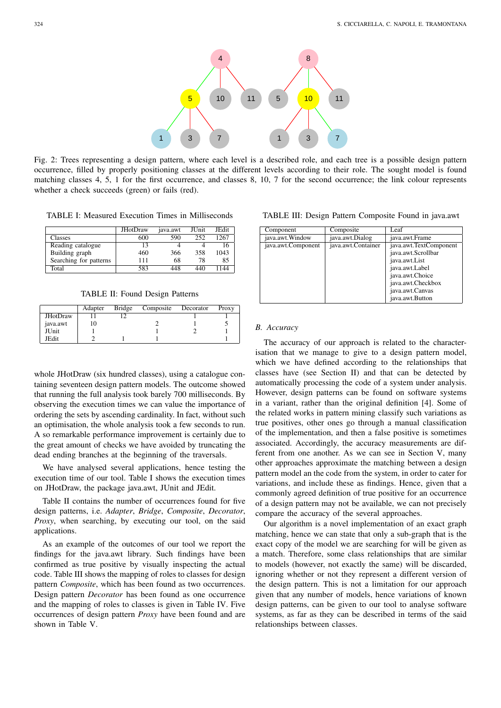

Fig. 2: Trees representing a design pattern, where each level is a described role, and each tree is a possible design pattern occurrence, filled by properly positioning classes at the different levels according to their role. The sought model is found matching classes 4, 5, 1 for the first occurrence, and classes 8, 10, 7 for the second occurrence; the link colour represents whether a check succeeds (green) or fails (red).

TABLE I: Measured Execution Times in Milliseconds

|                        | JHotDraw | java.awt | JUnit | JEdit |
|------------------------|----------|----------|-------|-------|
| Classes                | 600      | 590      | 252   | 1267  |
| Reading catalogue      | 13       |          |       |       |
| Building graph         | 460      | 366      | 358   | 1043  |
| Searching for patterns | 111      | 68       | 78    | 85    |
| Total                  | 583      | 448      |       | 144   |

TABLE II: Found Design Patterns

|                 | Adapter | Bridge | Composite | Decorator | Proxy |
|-----------------|---------|--------|-----------|-----------|-------|
| <b>JHotDraw</b> |         |        |           |           |       |
| java.awt        |         |        |           |           |       |
| JUnit           |         |        |           |           |       |
| JEdit           |         |        |           |           |       |

whole JHotDraw (six hundred classes), using a catalogue containing seventeen design pattern models. The outcome showed that running the full analysis took barely 700 milliseconds. By observing the execution times we can value the importance of ordering the sets by ascending cardinality. In fact, without such an optimisation, the whole analysis took a few seconds to run. A so remarkable performance improvement is certainly due to the great amount of checks we have avoided by truncating the dead ending branches at the beginning of the traversals.

We have analysed several applications, hence testing the execution time of our tool. Table I shows the execution times on JHotDraw, the package java.awt, JUnit and JEdit.

Table II contains the number of occurrences found for five design patterns, i.e. *Adapter*, *Bridge*, *Composite*, *Decorator*, *Proxy*, when searching, by executing our tool, on the said applications.

As an example of the outcomes of our tool we report the findings for the java.awt library. Such findings have been confirmed as true positive by visually inspecting the actual code. Table III shows the mapping of roles to classes for design pattern *Composite*, which has been found as two occurrences. Design pattern *Decorator* has been found as one occurrence and the mapping of roles to classes is given in Table IV. Five occurrences of design pattern *Proxy* have been found and are shown in Table V.

TABLE III: Design Pattern Composite Found in java.awt

| Component          | Composite          | Leaf                                                                                                                                                          |
|--------------------|--------------------|---------------------------------------------------------------------------------------------------------------------------------------------------------------|
| java.awt. Window   | java.awt.Dialog    | java.awt.Frame                                                                                                                                                |
| java.awt.Component | java.awt.Container | java.awt.TextComponent<br>java.awt.Scrollbar<br>java.awt.List<br>java.awt.Label<br>java.awt.Choice<br>java.awt.Checkbox<br>java.awt.Canvas<br>java.awt.Button |

## *B. Accuracy*

The accuracy of our approach is related to the characterisation that we manage to give to a design pattern model, which we have defined according to the relationships that classes have (see Section II) and that can be detected by automatically processing the code of a system under analysis. However, design patterns can be found on software systems in a variant, rather than the original definition [4]. Some of the related works in pattern mining classify such variations as true positives, other ones go through a manual classification of the implementation, and then a false positive is sometimes associated. Accordingly, the accuracy measurements are different from one another. As we can see in Section V, many other approaches approximate the matching between a design pattern model an the code from the system, in order to cater for variations, and include these as findings. Hence, given that a commonly agreed definition of true positive for an occurrence of a design pattern may not be available, we can not precisely compare the accuracy of the several approaches.

Our algorithm is a novel implementation of an exact graph matching, hence we can state that only a sub-graph that is the exact copy of the model we are searching for will be given as a match. Therefore, some class relationships that are similar to models (however, not exactly the same) will be discarded, ignoring whether or not they represent a different version of the design pattern. This is not a limitation for our approach given that any number of models, hence variations of known design patterns, can be given to our tool to analyse software systems, as far as they can be described in terms of the said relationships between classes.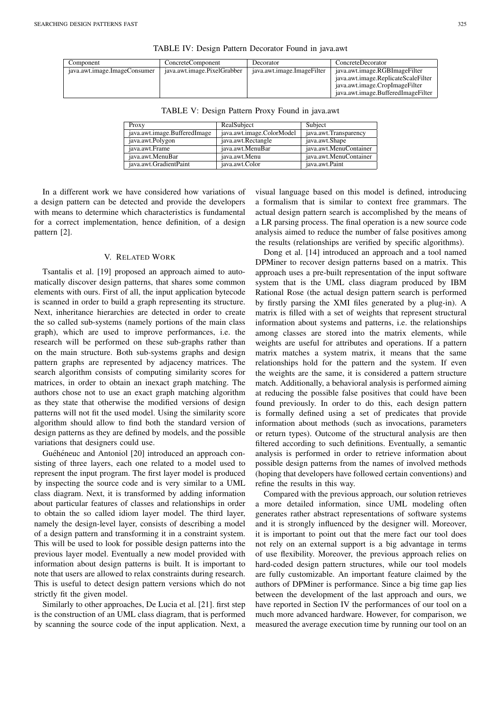| Component                    | ConcreteComponent           | Decorator                  | ConcreteDecorator                   |
|------------------------------|-----------------------------|----------------------------|-------------------------------------|
| java.awt.image.ImageConsumer | java.awt.image.PixelGrabber | java.awt.image.ImageFilter | java.awt.image.RGBImageFilter       |
|                              |                             |                            | java.awt.image.ReplicateScaleFilter |
|                              |                             |                            | java.awt.image.CropImageFilter      |
|                              |                             |                            | java.awt.image.BufferedImageFilter  |

TABLE IV: Design Pattern Decorator Found in java.awt

|                            |                            |                           | java.awt.image.ReplicateScaleFilte<br>java.awt.image.CropImageFilter<br>iava.awt.image.BufferedImageFilte |
|----------------------------|----------------------------|---------------------------|-----------------------------------------------------------------------------------------------------------|
| va.awt.image.imageConsumer | ava.awt.image.PixelGrabber | ava.awt.image.image.iller | ava.awt.image.RGBImageFilter                                                                              |

| Proxy                        | RealSubject               | Subject                |
|------------------------------|---------------------------|------------------------|
| java.awt.image.BufferedImage | java.awt.image.ColorModel | java.awt.Transparency  |
| java.awt.Polygon             | java.awt.Rectangle        | java.awt.Shape         |
| java.awt.Frame               | java.awt.MenuBar          | java.awt.MenuContainer |
| java.awt.MenuBar             | java.awt.Menu             | java.awt.MenuContainer |
| java.awt.GradientPaint       | java.awt.Color            | java.awt.Paint         |

TABLE V: Design Pattern Proxy Found in java.awt

In a different work we have considered how variations of a design pattern can be detected and provide the developers with means to determine which characteristics is fundamental for a correct implementation, hence definition, of a design pattern [2].

## V. RELATED WORK

Tsantalis et al. [19] proposed an approach aimed to automatically discover design patterns, that shares some common elements with ours. First of all, the input application bytecode is scanned in order to build a graph representing its structure. Next, inheritance hierarchies are detected in order to create the so called sub-systems (namely portions of the main class graph), which are used to improve performances, i.e. the research will be performed on these sub-graphs rather than on the main structure. Both sub-systems graphs and design pattern graphs are represented by adjacency matrices. The search algorithm consists of computing similarity scores for matrices, in order to obtain an inexact graph matching. The authors chose not to use an exact graph matching algorithm as they state that otherwise the modified versions of design patterns will not fit the used model. Using the similarity score algorithm should allow to find both the standard version of design patterns as they are defined by models, and the possible variations that designers could use.

Guéhéneuc and Antoniol [20] introduced an approach consisting of three layers, each one related to a model used to represent the input program. The first layer model is produced by inspecting the source code and is very similar to a UML class diagram. Next, it is transformed by adding information about particular features of classes and relationships in order to obtain the so called idiom layer model. The third layer, namely the design-level layer, consists of describing a model of a design pattern and transforming it in a constraint system. This will be used to look for possible design patterns into the previous layer model. Eventually a new model provided with information about design patterns is built. It is important to note that users are allowed to relax constraints during research. This is useful to detect design pattern versions which do not strictly fit the given model.

Similarly to other approaches, De Lucia et al. [21]. first step is the construction of an UML class diagram, that is performed by scanning the source code of the input application. Next, a

visual language based on this model is defined, introducing a formalism that is similar to context free grammars. The actual design pattern search is accomplished by the means of a LR parsing process. The final operation is a new source code analysis aimed to reduce the number of false positives among the results (relationships are verified by specific algorithms).

Dong et al. [14] introduced an approach and a tool named DPMiner to recover design patterns based on a matrix. This approach uses a pre-built representation of the input software system that is the UML class diagram produced by IBM Rational Rose (the actual design pattern search is performed by firstly parsing the XMI files generated by a plug-in). A matrix is filled with a set of weights that represent structural information about systems and patterns, i.e. the relationships among classes are stored into the matrix elements, while weights are useful for attributes and operations. If a pattern matrix matches a system matrix, it means that the same relationships hold for the pattern and the system. If even the weights are the same, it is considered a pattern structure match. Additionally, a behavioral analysis is performed aiming at reducing the possible false positives that could have been found previously. In order to do this, each design pattern is formally defined using a set of predicates that provide information about methods (such as invocations, parameters or return types). Outcome of the structural analysis are then filtered according to such definitions. Eventually, a semantic analysis is performed in order to retrieve information about possible design patterns from the names of involved methods (hoping that developers have followed certain conventions) and refine the results in this way.

Compared with the previous approach, our solution retrieves a more detailed information, since UML modeling often generates rather abstract representations of software systems and it is strongly influenced by the designer will. Moreover, it is important to point out that the mere fact our tool does not rely on an external support is a big advantage in terms of use flexibility. Moreover, the previous approach relies on hard-coded design pattern structures, while our tool models are fully customizable. An important feature claimed by the authors of DPMiner is performance. Since a big time gap lies between the development of the last approach and ours, we have reported in Section IV the performances of our tool on a much more advanced hardware. However, for comparison, we measured the average execution time by running our tool on an